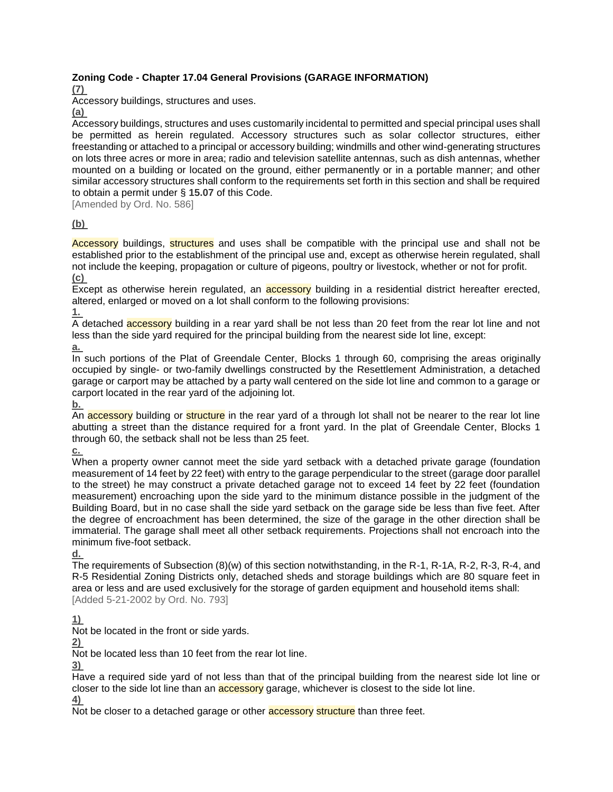## **Zoning Code - Chapter 17.04 General Provisions (GARAGE INFORMATION)**

**[\(7\)](https://www.ecode360.com/113294#113294)**

Accessory buildings, structures and uses.

**[\(a\)](https://www.ecode360.com/113271#113271)**

Accessory buildings, structures and uses customarily incidental to permitted and special principal uses shall be permitted as herein regulated. Accessory structures such as solar collector structures, either freestanding or attached to a principal or accessory building; windmills and other wind-generating structures on lots three acres or more in area; radio and television satellite antennas, such as dish antennas, whether mounted on a building or located on the ground, either permanently or in a portable manner; and other similar accessory structures shall conform to the requirements set forth in this section and shall be required to obtain a permit under § **[15.07](https://www.ecode360.com/112935#112935)** of this Code.

[Amended by Ord. No. 586]

## **[\(b\)](https://www.ecode360.com/113272#113272)**

Accessory buildings, structures and uses shall be compatible with the principal use and shall not be established prior to the establishment of the principal use and, except as otherwise herein regulated, shall not include the keeping, propagation or culture of pigeons, poultry or livestock, whether or not for profit. **[\(c\)](https://www.ecode360.com/113290#113290)**

Except as otherwise herein regulated, an **accessory** building in a residential district hereafter erected, altered, enlarged or moved on a lot shall conform to the following provisions:

**[1.](https://www.ecode360.com/113287#113287)**

A detached accessory building in a rear yard shall be not less than 20 feet from the rear lot line and not less than the side yard required for the principal building from the nearest side lot line, except: **[a.](https://www.ecode360.com/113273#113273)**

In such portions of the Plat of Greendale Center, Blocks 1 through 60, comprising the areas originally occupied by single- or two-family dwellings constructed by the Resettlement Administration, a detached garage or carport may be attached by a party wall centered on the side lot line and common to a garage or carport located in the rear yard of the adjoining lot.

**[b.](https://www.ecode360.com/113274#113274)**

An **accessory** building or **structure** in the rear yard of a through lot shall not be nearer to the rear lot line abutting a street than the distance required for a front yard. In the plat of Greendale Center, Blocks 1 through 60, the setback shall not be less than 25 feet.

**[c.](https://www.ecode360.com/113275#113275)**

When a property owner cannot meet the side yard setback with a detached private garage (foundation measurement of 14 feet by 22 feet) with entry to the garage perpendicular to the street (garage door parallel to the street) he may construct a private detached garage not to exceed 14 feet by 22 feet (foundation measurement) encroaching upon the side yard to the minimum distance possible in the judgment of the Building Board, but in no case shall the side yard setback on the garage side be less than five feet. After the degree of encroachment has been determined, the size of the garage in the other direction shall be immaterial. The garage shall meet all other setback requirements. Projections shall not encroach into the minimum five-foot setback.

**[d.](https://www.ecode360.com/113286#113286)**

The requirements of Subsection (8)(w) of this section notwithstanding, in the R-1, R-1A, R-2, R-3, R-4, and R-5 Residential Zoning Districts only, detached sheds and storage buildings which are 80 square feet in area or less and are used exclusively for the storage of garden equipment and household items shall: [Added 5-21-2002 by Ord. No. 793]

**[1\)](https://www.ecode360.com/113276#113276)**

Not be located in the front or side yards.

**[2\)](https://www.ecode360.com/113277#113277)**

Not be located less than 10 feet from the rear lot line.

**[3\)](https://www.ecode360.com/113278#113278)**

Have a required side yard of not less than that of the principal building from the nearest side lot line or closer to the side lot line than an **accessory** garage, whichever is closest to the side lot line.

**[4\)](https://www.ecode360.com/113279#113279)**

Not be closer to a detached garage or other **accessory structure** than three feet.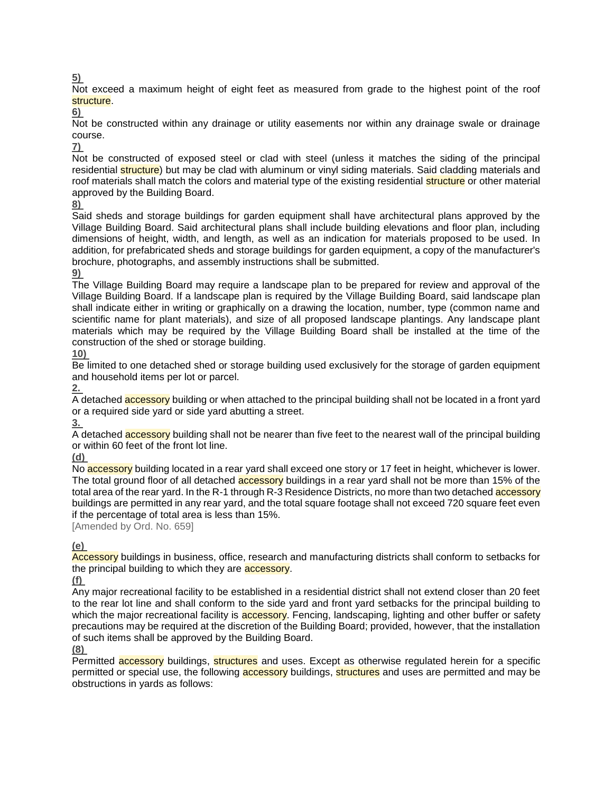### **[5\)](https://www.ecode360.com/113280#113280)**

Not exceed a maximum height of eight feet as measured from grade to the highest point of the roof structure.

**[6\)](https://www.ecode360.com/113281#113281)**

Not be constructed within any drainage or utility easements nor within any drainage swale or drainage course.

**[7\)](https://www.ecode360.com/113282#113282)**

Not be constructed of exposed steel or clad with steel (unless it matches the siding of the principal residential structure) but may be clad with aluminum or vinyl siding materials. Said cladding materials and roof materials shall match the colors and material type of the existing residential structure or other material approved by the Building Board.

**[8\)](https://www.ecode360.com/113283#113283)**

Said sheds and storage buildings for garden equipment shall have architectural plans approved by the Village Building Board. Said architectural plans shall include building elevations and floor plan, including dimensions of height, width, and length, as well as an indication for materials proposed to be used. In addition, for prefabricated sheds and storage buildings for garden equipment, a copy of the manufacturer's brochure, photographs, and assembly instructions shall be submitted.

#### **[9\)](https://www.ecode360.com/113284#113284)**

The Village Building Board may require a landscape plan to be prepared for review and approval of the Village Building Board. If a landscape plan is required by the Village Building Board, said landscape plan shall indicate either in writing or graphically on a drawing the location, number, type (common name and scientific name for plant materials), and size of all proposed landscape plantings. Any landscape plant materials which may be required by the Village Building Board shall be installed at the time of the construction of the shed or storage building.

**[10\)](https://www.ecode360.com/113285#113285)**

Be limited to one detached shed or storage building used exclusively for the storage of garden equipment and household items per lot or parcel.

**[2.](https://www.ecode360.com/113288#113288)**

A detached accessory building or when attached to the principal building shall not be located in a front yard or a required side yard or side yard abutting a street.

**[3.](https://www.ecode360.com/113289#113289)**

A detached accessory building shall not be nearer than five feet to the nearest wall of the principal building or within 60 feet of the front lot line.

### **[\(d\)](https://www.ecode360.com/113291#113291)**

No **accessory** building located in a rear yard shall exceed one story or 17 feet in height, whichever is lower. The total ground floor of all detached accessory buildings in a rear vard shall not be more than 15% of the total area of the rear yard. In the R-1 through R-3 Residence Districts, no more than two detached accessory buildings are permitted in any rear yard, and the total square footage shall not exceed 720 square feet even if the percentage of total area is less than 15%.

[Amended by Ord. No. 659]

# **[\(e\)](https://www.ecode360.com/113292#113292)**

Accessory buildings in business, office, research and manufacturing districts shall conform to setbacks for the principal building to which they are **accessory**.

**[\(f\)](https://www.ecode360.com/113293#113293)**

Any major recreational facility to be established in a residential district shall not extend closer than 20 feet to the rear lot line and shall conform to the side yard and front yard setbacks for the principal building to which the major recreational facility is accessory. Fencing, landscaping, lighting and other buffer or safety precautions may be required at the discretion of the Building Board; provided, however, that the installation of such items shall be approved by the Building Board.

**[\(8\)](https://www.ecode360.com/113295#113295)**

Permitted **accessory** buildings, **structures** and uses. Except as otherwise regulated herein for a specific permitted or special use, the following **accessory** buildings, **structures** and uses are permitted and may be obstructions in yards as follows: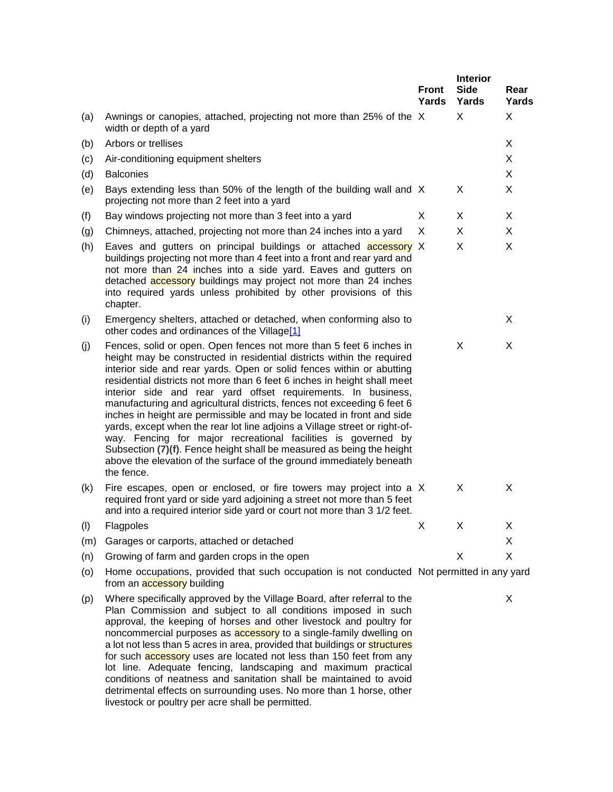|     |                                                                                                                                                                                                                                                                                                                                                                                                                                                                                                                                                                                                                                                                                                                                                                                                                                       | Front<br>Yards | <b>Interior</b><br><b>Side</b><br>Yards | Rear<br>Yards |
|-----|---------------------------------------------------------------------------------------------------------------------------------------------------------------------------------------------------------------------------------------------------------------------------------------------------------------------------------------------------------------------------------------------------------------------------------------------------------------------------------------------------------------------------------------------------------------------------------------------------------------------------------------------------------------------------------------------------------------------------------------------------------------------------------------------------------------------------------------|----------------|-----------------------------------------|---------------|
| (a) | Awnings or canopies, attached, projecting not more than 25% of the X<br>width or depth of a yard                                                                                                                                                                                                                                                                                                                                                                                                                                                                                                                                                                                                                                                                                                                                      |                | X                                       | X             |
| (b) | Arbors or trellises                                                                                                                                                                                                                                                                                                                                                                                                                                                                                                                                                                                                                                                                                                                                                                                                                   |                |                                         | X             |
| (c) | Air-conditioning equipment shelters                                                                                                                                                                                                                                                                                                                                                                                                                                                                                                                                                                                                                                                                                                                                                                                                   |                |                                         | X.            |
| (d) | <b>Balconies</b>                                                                                                                                                                                                                                                                                                                                                                                                                                                                                                                                                                                                                                                                                                                                                                                                                      |                |                                         | X             |
| (e) | Bays extending less than 50% of the length of the building wall and X<br>projecting not more than 2 feet into a yard                                                                                                                                                                                                                                                                                                                                                                                                                                                                                                                                                                                                                                                                                                                  |                | X                                       | X             |
| (f) | Bay windows projecting not more than 3 feet into a yard                                                                                                                                                                                                                                                                                                                                                                                                                                                                                                                                                                                                                                                                                                                                                                               | X              | X                                       | X             |
| (g) | Chimneys, attached, projecting not more than 24 inches into a yard                                                                                                                                                                                                                                                                                                                                                                                                                                                                                                                                                                                                                                                                                                                                                                    | X              | X                                       | X.            |
| (h) | Eaves and gutters on principal buildings or attached <b>accessory</b> X<br>buildings projecting not more than 4 feet into a front and rear yard and<br>not more than 24 inches into a side yard. Eaves and gutters on<br>detached <b>accessory</b> buildings may project not more than 24 inches<br>into required yards unless prohibited by other provisions of this<br>chapter.                                                                                                                                                                                                                                                                                                                                                                                                                                                     |                | X                                       | X             |
| (i) | Emergency shelters, attached or detached, when conforming also to<br>other codes and ordinances of the Village <sup>[1]</sup>                                                                                                                                                                                                                                                                                                                                                                                                                                                                                                                                                                                                                                                                                                         |                |                                         | X             |
| (j) | Fences, solid or open. Open fences not more than 5 feet 6 inches in<br>height may be constructed in residential districts within the required<br>interior side and rear yards. Open or solid fences within or abutting<br>residential districts not more than 6 feet 6 inches in height shall meet<br>interior side and rear yard offset requirements. In business,<br>manufacturing and agricultural districts, fences not exceeding 6 feet 6<br>inches in height are permissible and may be located in front and side<br>yards, except when the rear lot line adjoins a Village street or right-of-<br>way. Fencing for major recreational facilities is governed by<br>Subsection (7)(f). Fence height shall be measured as being the height<br>above the elevation of the surface of the ground immediately beneath<br>the fence. |                | X                                       | X.            |
| (k) | Fire escapes, open or enclosed, or fire towers may project into a X<br>required front yard or side yard adjoining a street not more than 5 feet<br>and into a required interior side yard or court not more than 3 1/2 feet.                                                                                                                                                                                                                                                                                                                                                                                                                                                                                                                                                                                                          |                | X                                       | X             |
| (1) | Flagpoles                                                                                                                                                                                                                                                                                                                                                                                                                                                                                                                                                                                                                                                                                                                                                                                                                             | X              | X                                       | X             |
| (m) | Garages or carports, attached or detached                                                                                                                                                                                                                                                                                                                                                                                                                                                                                                                                                                                                                                                                                                                                                                                             |                |                                         | X             |
| (n) | Growing of farm and garden crops in the open                                                                                                                                                                                                                                                                                                                                                                                                                                                                                                                                                                                                                                                                                                                                                                                          |                | X                                       | X             |
| (0) | Home occupations, provided that such occupation is not conducted Not permitted in any yard<br>from an <b>accessory</b> building                                                                                                                                                                                                                                                                                                                                                                                                                                                                                                                                                                                                                                                                                                       |                |                                         |               |

(p) Where specifically approved by the Village Board, after referral to the Plan Commission and subject to all conditions imposed in such approval, the keeping of horses and other livestock and poultry for noncommercial purposes as accessory to a single-family dwelling on a lot not less than 5 acres in area, provided that buildings or structures for such **accessory** uses are located not less than 150 feet from any lot line. Adequate fencing, landscaping and maximum practical conditions of neatness and sanitation shall be maintained to avoid detrimental effects on surrounding uses. No more than 1 horse, other livestock or poultry per acre shall be permitted.

X